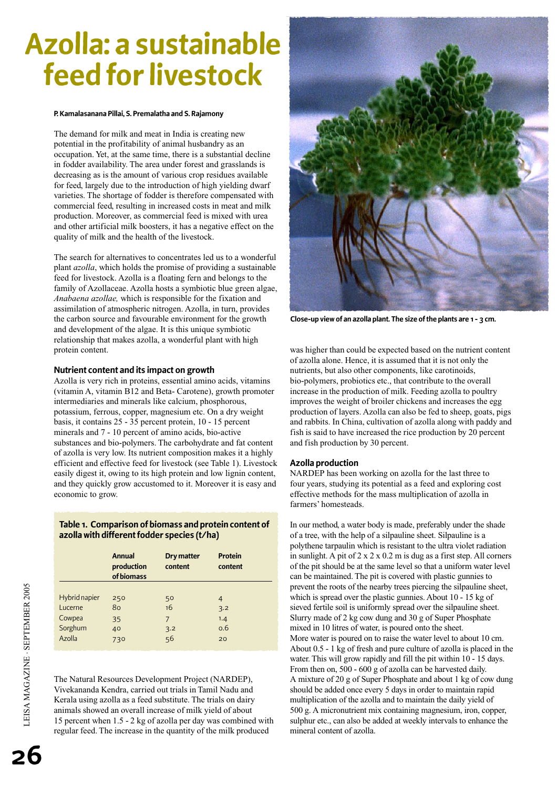# **Azolla: a sustainable feed for livestock**

#### **P. Kamalasanana Pillai, S. Premalatha and S. Rajamony**

The demand for milk and meat in India is creating new potential in the profitability of animal husbandry as an occupation. Yet, at the same time, there is a substantial decline in fodder availability. The area under forest and grasslands is decreasing as is the amount of various crop residues available for feed, largely due to the introduction of high yielding dwarf varieties. The shortage of fodder is therefore compensated with commercial feed, resulting in increased costs in meat and milk production. Moreover, as commercial feed is mixed with urea and other artificial milk boosters, it has a negative effect on the quality of milk and the health of the livestock.

The search for alternatives to concentrates led us to a wonderful plant *azolla*, which holds the promise of providing a sustainable feed for livestock. Azolla is a floating fern and belongs to the family of Azollaceae. Azolla hosts a symbiotic blue green algae, *Anabaena azollae,* which is responsible for the fixation and assimilation of atmospheric nitrogen. Azolla, in turn, provides the carbon source and favourable environment for the growth and development of the algae. It is this unique symbiotic relationship that makes azolla, a wonderful plant with high protein content.

## **Nutrient content and its impact on growth**

Azolla is very rich in proteins, essential amino acids, vitamins (vitamin A, vitamin B12 and Beta- Carotene), growth promoter intermediaries and minerals like calcium, phosphorous, potassium, ferrous, copper, magnesium etc. On a dry weight basis, it contains 25 - 35 percent protein, 10 - 15 percent minerals and 7 - 10 percent of amino acids, bio-active substances and bio-polymers. The carbohydrate and fat content of azolla is very low. Its nutrient composition makes it a highly efficient and effective feed for livestock (see Table 1). Livestock easily digest it, owing to its high protein and low lignin content, and they quickly grow accustomed to it. Moreover it is easy and economic to grow.

# **Table 1. Comparison of biomass and protein content of azolla with different fodder species (t/ha)**

|               | <b>Annual</b><br>production<br>of biomass | Dry matter<br>content | <b>Protein</b><br>content |
|---------------|-------------------------------------------|-----------------------|---------------------------|
|               |                                           |                       |                           |
| Hybrid napier | 250                                       | 50                    | 4                         |
| Lucerne       | 80                                        | 16                    | 3.2                       |
| Cowpea        | 35                                        | 7                     | 1.4                       |
| Sorghum       | 40                                        | 3.2                   | 0.6                       |
| Azolla        | 730                                       | 56                    | 20                        |

The Natural Resources Development Project (NARDEP), Vivekananda Kendra, carried out trials in Tamil Nadu and Kerala using azolla as a feed substitute. The trials on dairy animals showed an overall increase of milk yield of about 15 percent when 1.5 - 2 kg of azolla per day was combined with regular feed. The increase in the quantity of the milk produced



**Close-up view of an azolla plant. The size of the plants are 1 - 3 cm.** 

was higher than could be expected based on the nutrient content of azolla alone. Hence, it is assumed that it is not only the nutrients, but also other components, like carotinoids, bio-polymers, probiotics etc., that contribute to the overall increase in the production of milk. Feeding azolla to poultry improves the weight of broiler chickens and increases the egg production of layers. Azolla can also be fed to sheep, goats, pigs and rabbits. In China, cultivation of azolla along with paddy and fish is said to have increased the rice production by 20 percent and fish production by 30 percent.

#### **Azolla production**

NARDEP has been working on azolla for the last three to four years, studying its potential as a feed and exploring cost effective methods for the mass multiplication of azolla in farmers' homesteads.

In our method, a water body is made, preferably under the shade of a tree, with the help of a silpauline sheet. Silpauline is a polythene tarpaulin which is resistant to the ultra violet radiation in sunlight. A pit of  $2 \times 2 \times 0.2$  m is dug as a first step. All corners of the pit should be at the same level so that a uniform water level can be maintained. The pit is covered with plastic gunnies to prevent the roots of the nearby trees piercing the silpauline sheet, which is spread over the plastic gunnies. About 10 - 15 kg of sieved fertile soil is uniformly spread over the silpauline sheet. Slurry made of 2 kg cow dung and 30 g of Super Phosphate mixed in 10 litres of water, is poured onto the sheet. More water is poured on to raise the water level to about 10 cm. About 0.5 - 1 kg of fresh and pure culture of azolla is placed in the water. This will grow rapidly and fill the pit within 10 - 15 days. From then on, 500 - 600 g of azolla can be harvested daily. A mixture of 20 g of Super Phosphate and about 1 kg of cow dung should be added once every 5 days in order to maintain rapid multiplication of the azolla and to maintain the daily yield of 500 g. A micronutrient mix containing magnesium, iron, copper, sulphur etc., can also be added at weekly intervals to enhance the mineral content of azolla.